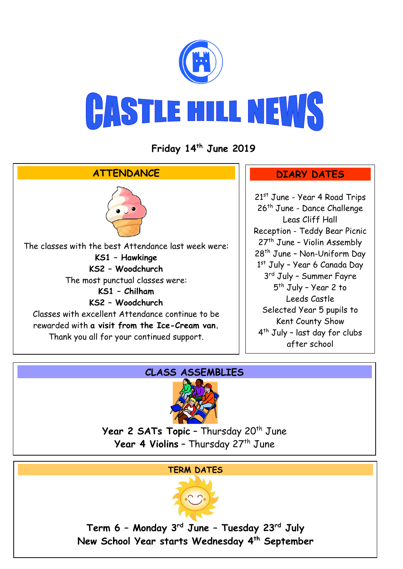

**Friday 14th June 2019**



## **CLASS ASSEMBLIES**



**Year 2 SATs Topic - Thursday 20<sup>th</sup> June Year 4 Violins** - Thursday 27<sup>th</sup> June

#### **TERM DATES**



**Term 6 – Monday 3rd June – Tuesday 23rd July New School Year starts Wednesday 4th September**